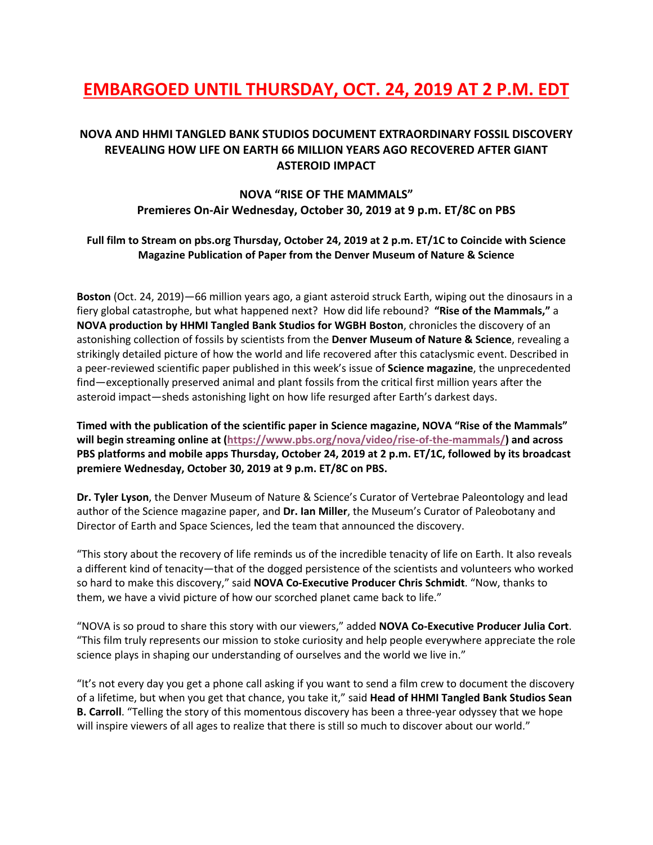# **EMBARGOED UNTIL THURSDAY, OCT. 24, 2019 AT 2 P.M. EDT**

## **NOVA AND HHMI TANGLED BANK STUDIOS DOCUMENT EXTRAORDINARY FOSSIL DISCOVERY REVEALING HOW LIFE ON EARTH 66 MILLION YEARS AGO RECOVERED AFTER GIANT ASTEROID IMPACT**

# **NOVA "RISE OF THE MAMMALS" Premieres On-Air Wednesday, October 30, 2019 at 9 p.m. ET/8C on PBS**

### **Full film to Stream on pbs.org Thursday, October 24, 2019 at 2 p.m. ET/1C to Coincide with Science Magazine Publication of Paper from the Denver Museum of Nature & Science**

**Boston** (Oct. 24, 2019)—66 million years ago, a giant asteroid struck Earth, wiping out the dinosaurs in a fiery global catastrophe, but what happened next? How did life rebound? **"Rise of the Mammals,"** a **NOVA production by HHMI Tangled Bank Studios for WGBH Boston**, chronicles the discovery of an astonishing collection of fossils by scientists from the **Denver Museum of Nature & Science**, revealing a strikingly detailed picture of how the world and life recovered after this cataclysmic event. Described in a peer-reviewed scientific paper published in this week's issue of **Science magazine**, the unprecedented find—exceptionally preserved animal and plant fossils from the critical first million years after the asteroid impact—sheds astonishing light on how life resurged after Earth's darkest days.

**Timed with the publication of the scientific paper in Science magazine, NOVA "Rise of the Mammals" will begin streaming online at (https://www.pbs.org/nova/video/rise-of-the-mammals/) and across PBS platforms and mobile apps Thursday, October 24, 2019 at 2 p.m. ET/1C, followed by its broadcast premiere Wednesday, October 30, 2019 at 9 p.m. ET/8C on PBS.**

**Dr. Tyler Lyson**, the Denver Museum of Nature & Science's Curator of Vertebrae Paleontology and lead author of the Science magazine paper, and **Dr. Ian Miller**, the Museum's Curator of Paleobotany and Director of Earth and Space Sciences, led the team that announced the discovery.

"This story about the recovery of life reminds us of the incredible tenacity of life on Earth. It also reveals a different kind of tenacity—that of the dogged persistence of the scientists and volunteers who worked so hard to make this discovery," said **NOVA Co-Executive Producer Chris Schmidt**. "Now, thanks to them, we have a vivid picture of how our scorched planet came back to life."

"NOVA is so proud to share this story with our viewers," added **NOVA Co-Executive Producer Julia Cort**. "This film truly represents our mission to stoke curiosity and help people everywhere appreciate the role science plays in shaping our understanding of ourselves and the world we live in."

"It's not every day you get a phone call asking if you want to send a film crew to document the discovery of a lifetime, but when you get that chance, you take it," said **Head of HHMI Tangled Bank Studios Sean B. Carroll**. "Telling the story of this momentous discovery has been a three-year odyssey that we hope will inspire viewers of all ages to realize that there is still so much to discover about our world."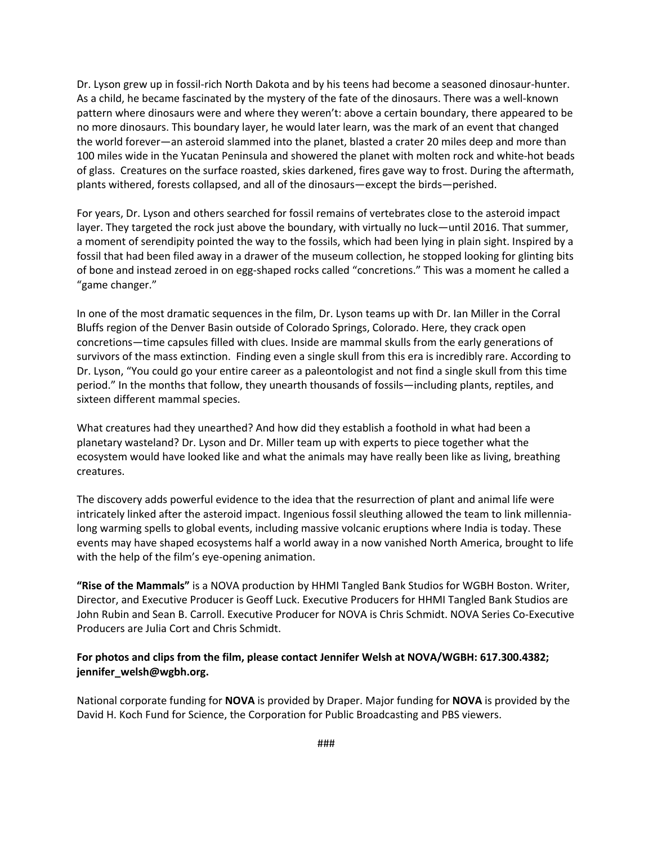Dr. Lyson grew up in fossil-rich North Dakota and by his teens had become a seasoned dinosaur-hunter. As a child, he became fascinated by the mystery of the fate of the dinosaurs. There was a well-known pattern where dinosaurs were and where they weren't: above a certain boundary, there appeared to be no more dinosaurs. This boundary layer, he would later learn, was the mark of an event that changed the world forever—an asteroid slammed into the planet, blasted a crater 20 miles deep and more than 100 miles wide in the Yucatan Peninsula and showered the planet with molten rock and white-hot beads of glass. Creatures on the surface roasted, skies darkened, fires gave way to frost. During the aftermath, plants withered, forests collapsed, and all of the dinosaurs—except the birds—perished.

For years, Dr. Lyson and others searched for fossil remains of vertebrates close to the asteroid impact layer. They targeted the rock just above the boundary, with virtually no luck—until 2016. That summer, a moment of serendipity pointed the way to the fossils, which had been lying in plain sight. Inspired by a fossil that had been filed away in a drawer of the museum collection, he stopped looking for glinting bits of bone and instead zeroed in on egg-shaped rocks called "concretions." This was a moment he called a "game changer."

In one of the most dramatic sequences in the film, Dr. Lyson teams up with Dr. Ian Miller in the Corral Bluffs region of the Denver Basin outside of Colorado Springs, Colorado. Here, they crack open concretions—time capsules filled with clues. Inside are mammal skulls from the early generations of survivors of the mass extinction. Finding even a single skull from this era is incredibly rare. According to Dr. Lyson, "You could go your entire career as a paleontologist and not find a single skull from this time period." In the months that follow, they unearth thousands of fossils—including plants, reptiles, and sixteen different mammal species.

What creatures had they unearthed? And how did they establish a foothold in what had been a planetary wasteland? Dr. Lyson and Dr. Miller team up with experts to piece together what the ecosystem would have looked like and what the animals may have really been like as living, breathing creatures.

The discovery adds powerful evidence to the idea that the resurrection of plant and animal life were intricately linked after the asteroid impact. Ingenious fossil sleuthing allowed the team to link millennialong warming spells to global events, including massive volcanic eruptions where India is today. These events may have shaped ecosystems half a world away in a now vanished North America, brought to life with the help of the film's eye-opening animation.

**"Rise of the Mammals"** is a NOVA production by HHMI Tangled Bank Studios for WGBH Boston. Writer, Director, and Executive Producer is Geoff Luck. Executive Producers for HHMI Tangled Bank Studios are John Rubin and Sean B. Carroll. Executive Producer for NOVA is Chris Schmidt. NOVA Series Co-Executive Producers are Julia Cort and Chris Schmidt.

### **For photos and clips from the film, please contact Jennifer Welsh at NOVA/WGBH: 617.300.4382; jennifer\_welsh@wgbh.org.**

National corporate funding for **NOVA** is provided by Draper. Major funding for **NOVA** is provided by the David H. Koch Fund for Science, the Corporation for Public Broadcasting and PBS viewers.